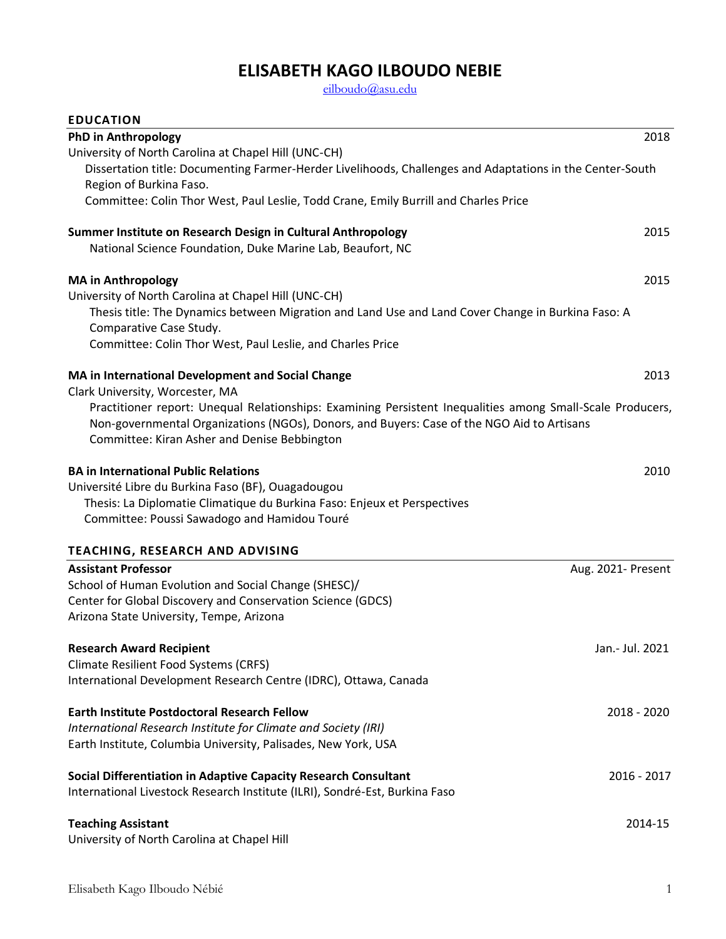# **ELISABETH KAGO ILBOUDO NEBIE**

[eilboudo@asu.edu](mailto:eilboudo@asu.edu)

| <b>EDUCATION</b>                                                                                                                                                                                                                                         |                    |
|----------------------------------------------------------------------------------------------------------------------------------------------------------------------------------------------------------------------------------------------------------|--------------------|
| <b>PhD in Anthropology</b>                                                                                                                                                                                                                               | 2018               |
| University of North Carolina at Chapel Hill (UNC-CH)                                                                                                                                                                                                     |                    |
| Dissertation title: Documenting Farmer-Herder Livelihoods, Challenges and Adaptations in the Center-South<br>Region of Burkina Faso.                                                                                                                     |                    |
| Committee: Colin Thor West, Paul Leslie, Todd Crane, Emily Burrill and Charles Price                                                                                                                                                                     |                    |
| Summer Institute on Research Design in Cultural Anthropology<br>National Science Foundation, Duke Marine Lab, Beaufort, NC                                                                                                                               | 2015               |
| <b>MA in Anthropology</b>                                                                                                                                                                                                                                | 2015               |
| University of North Carolina at Chapel Hill (UNC-CH)                                                                                                                                                                                                     |                    |
| Thesis title: The Dynamics between Migration and Land Use and Land Cover Change in Burkina Faso: A<br>Comparative Case Study.                                                                                                                            |                    |
| Committee: Colin Thor West, Paul Leslie, and Charles Price                                                                                                                                                                                               |                    |
| MA in International Development and Social Change<br>Clark University, Worcester, MA                                                                                                                                                                     | 2013               |
| Practitioner report: Unequal Relationships: Examining Persistent Inequalities among Small-Scale Producers,<br>Non-governmental Organizations (NGOs), Donors, and Buyers: Case of the NGO Aid to Artisans<br>Committee: Kiran Asher and Denise Bebbington |                    |
| <b>BA in International Public Relations</b>                                                                                                                                                                                                              | 2010               |
| Université Libre du Burkina Faso (BF), Ouagadougou<br>Thesis: La Diplomatie Climatique du Burkina Faso: Enjeux et Perspectives<br>Committee: Poussi Sawadogo and Hamidou Touré                                                                           |                    |
|                                                                                                                                                                                                                                                          |                    |
| TEACHING, RESEARCH AND ADVISING                                                                                                                                                                                                                          |                    |
| <b>Assistant Professor</b>                                                                                                                                                                                                                               | Aug. 2021- Present |
| School of Human Evolution and Social Change (SHESC)/<br>Center for Global Discovery and Conservation Science (GDCS)                                                                                                                                      |                    |
| Arizona State University, Tempe, Arizona                                                                                                                                                                                                                 |                    |
| <b>Research Award Recipient</b>                                                                                                                                                                                                                          | Jan.- Jul. 2021    |
| <b>Climate Resilient Food Systems (CRFS)</b>                                                                                                                                                                                                             |                    |
| International Development Research Centre (IDRC), Ottawa, Canada                                                                                                                                                                                         |                    |
| Earth Institute Postdoctoral Research Fellow                                                                                                                                                                                                             | 2018 - 2020        |
| International Research Institute for Climate and Society (IRI)                                                                                                                                                                                           |                    |
| Earth Institute, Columbia University, Palisades, New York, USA                                                                                                                                                                                           |                    |
| Social Differentiation in Adaptive Capacity Research Consultant                                                                                                                                                                                          | 2016 - 2017        |
| International Livestock Research Institute (ILRI), Sondré-Est, Burkina Faso                                                                                                                                                                              |                    |
| <b>Teaching Assistant</b>                                                                                                                                                                                                                                | 2014-15            |
| University of North Carolina at Chapel Hill                                                                                                                                                                                                              |                    |
|                                                                                                                                                                                                                                                          |                    |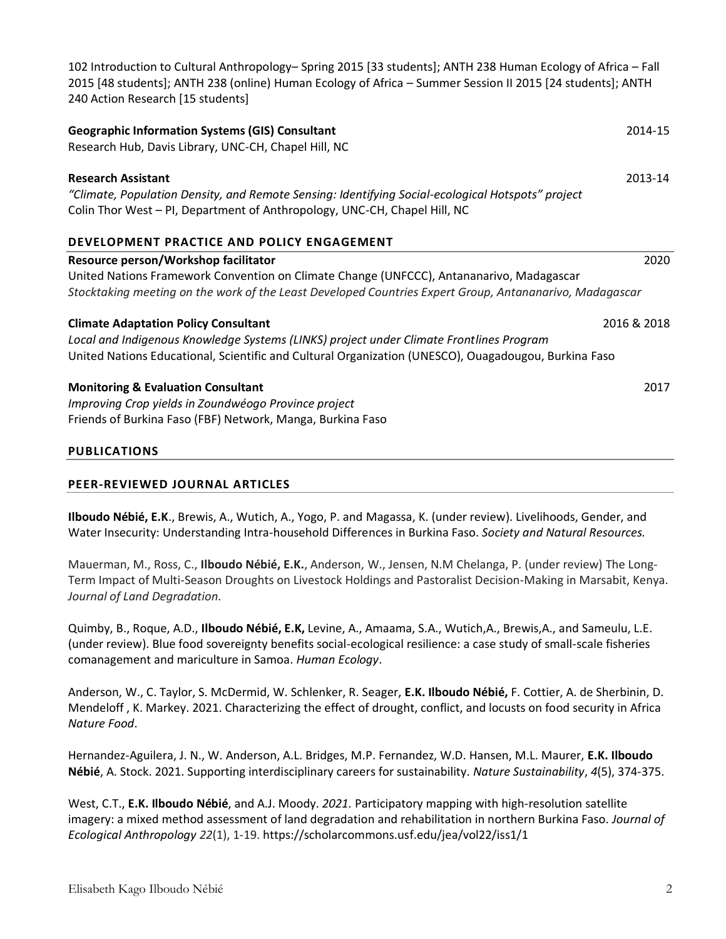| 240 Action Research [15 students]                                                                                                                                                                           |             |
|-------------------------------------------------------------------------------------------------------------------------------------------------------------------------------------------------------------|-------------|
| <b>Geographic Information Systems (GIS) Consultant</b><br>Research Hub, Davis Library, UNC-CH, Chapel Hill, NC                                                                                              | 2014-15     |
| <b>Research Assistant</b><br>"Climate, Population Density, and Remote Sensing: Identifying Social-ecological Hotspots" project<br>Colin Thor West - PI, Department of Anthropology, UNC-CH, Chapel Hill, NC | 2013-14     |
| <b>DEVELOPMENT PRACTICE AND POLICY ENGAGEMENT</b>                                                                                                                                                           |             |
| Resource person/Workshop facilitator                                                                                                                                                                        | 2020        |
| United Nations Framework Convention on Climate Change (UNFCCC), Antananarivo, Madagascar                                                                                                                    |             |
| Stocktaking meeting on the work of the Least Developed Countries Expert Group, Antananarivo, Madagascar                                                                                                     |             |
| <b>Climate Adaptation Policy Consultant</b>                                                                                                                                                                 | 2016 & 2018 |
| Local and Indigenous Knowledge Systems (LINKS) project under Climate Frontlines Program                                                                                                                     |             |
| United Nations Educational, Scientific and Cultural Organization (UNESCO), Ouagadougou, Burkina Faso                                                                                                        |             |
| <b>Monitoring &amp; Evaluation Consultant</b>                                                                                                                                                               | 2017        |
| Improving Crop yields in Zoundwéogo Province project                                                                                                                                                        |             |
| Friends of Burkina Faso (FBF) Network, Manga, Burkina Faso                                                                                                                                                  |             |
|                                                                                                                                                                                                             |             |
| <b>PUBLICATIONS</b>                                                                                                                                                                                         |             |

102 Introduction to Cultural Anthropology– Spring 2015 [33 students]; ANTH 238 Human Ecology of Africa – Fall 2015 [48 students]; ANTH 238 (online) Human Ecology of Africa – Summer Session II 2015 [24 students]; ANTH

## **PEER-REVIEWED JOURNAL ARTICLES**

**Ilboudo Nébié, E.K**., Brewis, A., Wutich, A., Yogo, P. and Magassa, K. (under review). Livelihoods, Gender, and Water Insecurity: Understanding Intra-household Differences in Burkina Faso. *Society and Natural Resources.*

Mauerman, M., Ross, C., **Ilboudo Nébié, E.K.**, Anderson, W., Jensen, N.M Chelanga, P. (under review) The Long-Term Impact of Multi-Season Droughts on Livestock Holdings and Pastoralist Decision-Making in Marsabit, Kenya. *Journal of Land Degradation.*

Quimby, B., Roque, A.D., **Ilboudo Nébié, E.K,** Levine, A., Amaama, S.A., Wutich,A., Brewis,A., and Sameulu, L.E. (under review). Blue food sovereignty benefits social-ecological resilience: a case study of small-scale fisheries comanagement and mariculture in Samoa. *Human Ecology*.

Anderson, W., C. Taylor, S. McDermid, W. Schlenker, R. Seager, **E.K. Ilboudo Nébié,** F. Cottier, A. de Sherbinin, D. Mendeloff , K. Markey. 2021. Characterizing the effect of drought, conflict, and locusts on food security in Africa *Nature Food*.

Hernandez-Aguilera, J. N., W. Anderson, A.L. Bridges, M.P. Fernandez, W.D. Hansen, M.L. Maurer, **E.K. Ilboudo Nébié**, A. Stock. 2021. Supporting interdisciplinary careers for sustainability. *Nature Sustainability*, *4*(5), 374-375.

West, C.T., **E.K. Ilboudo Nébié**, and A.J. Moody. *2021.* Participatory mapping with high-resolution satellite imagery: a mixed method assessment of land degradation and rehabilitation in northern Burkina Faso. *Journal of Ecological Anthropology 22*(1), 1-19. https://scholarcommons.usf.edu/jea/vol22/iss1/1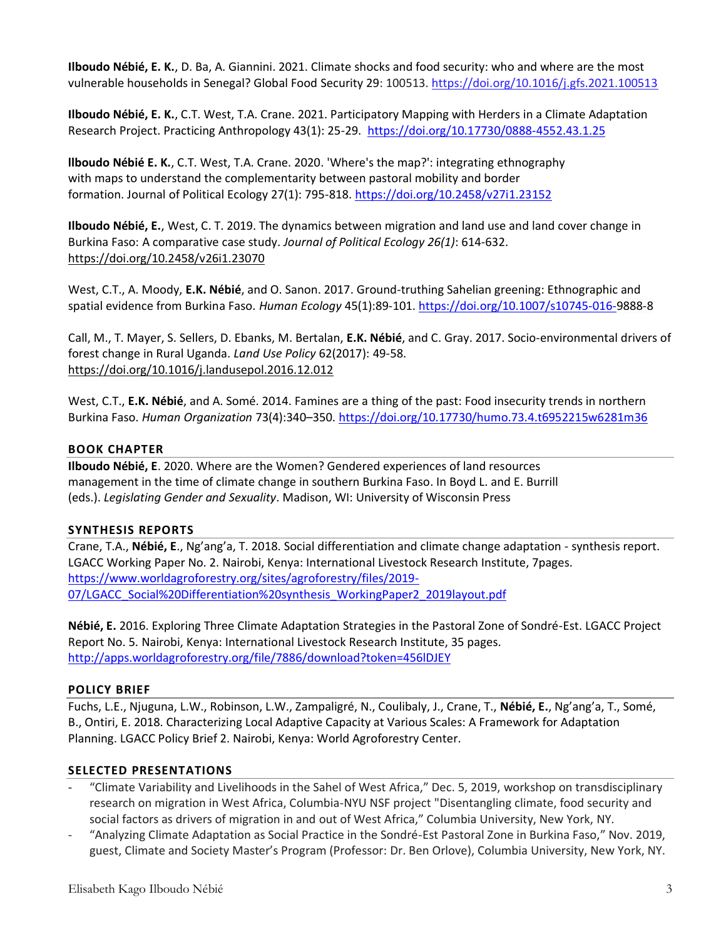**Ilboudo Nébié, E. K.**, D. Ba, A. Giannini. 2021. Climate shocks and food security: who and where are the most vulnerable households in Senegal? Global Food Security 29: 100513.<https://doi.org/10.1016/j.gfs.2021.100513>

**Ilboudo Nébié, E. K.**, C.T. West, T.A. Crane. 2021. Participatory Mapping with Herders in a Climate Adaptation Research Project. Practicing Anthropology 43(1): 25-29. <https://doi.org/10.17730/0888-4552.43.1.25>

**llboudo Nébié E. K.**, C.T. West, T.A. Crane. 2020. 'Where's the map?': integrating ethnography with maps to understand the complementarity between pastoral mobility and border formation. Journal of Political Ecology 27(1): 795-818.<https://doi.org/10.2458/v27i1.23152>

**Ilboudo Nébié, E.**, West, C. T. 2019. The dynamics between migration and land use and land cover change in Burkina Faso: A comparative case study. *Journal of Political Ecology 26(1)*: 614-632. <https://doi.org/10.2458/v26i1.23070>

West, C.T., A. Moody, **E.K. Nébié**, and O. Sanon. 2017. Ground-truthing Sahelian greening: Ethnographic and spatial evidence from Burkina Faso. *Human Ecology* 45(1):89-101. [https://doi.org/10.1007/s10745-016-9](https://doi.org/10.1007/s10745-016-)888-8

Call, M., T. Mayer, S. Sellers, D. Ebanks, M. Bertalan, **E.K. Nébié**, and C. Gray. 2017. Socio-environmental drivers of forest change in Rural Uganda. *Land Use Policy* 62(2017): 49-58. <https://doi.org/10.1016/j.landusepol.2016.12.012>

West, C.T., **E.K. Nébié**, and A. Somé. 2014. Famines are a thing of the past: Food insecurity trends in northern Burkina Faso. *Human Organization* 73(4):340–350. <https://doi.org/10.17730/humo.73.4.t6952215w6281m36>

# **BOOK CHAPTER**

**Ilboudo Nébié, E**. 2020. Where are the Women? Gendered experiences of land resources management in the time of climate change in southern Burkina Faso. In Boyd L. and E. Burrill (eds.). *Legislating Gender and Sexuality*. Madison, WI: University of Wisconsin Press

## **SYNTHESIS REPORTS**

Crane, T.A., **Nébié, E**., Ng'ang'a, T. 2018. Social differentiation and climate change adaptation - synthesis report. LGACC Working Paper No. 2. Nairobi, Kenya: International Livestock Research Institute, 7pages. [https://www.worldagroforestry.org/sites/agroforestry/files/2019-](https://www.worldagroforestry.org/sites/agroforestry/files/2019-07/LGACC_Social%20Differentiation%20synthesis_WorkingPaper2_2019layout.pdf) 07/LGACC\_Social%20Differentiation%20synthesis\_WorkingPaper2\_2019layout.pdf

**Nébié, E.** 2016. Exploring Three Climate Adaptation Strategies in the Pastoral Zone of Sondré-Est. LGACC Project Report No. 5. Nairobi, Kenya: International Livestock Research Institute, 35 pages. <http://apps.worldagroforestry.org/file/7886/download?token=456lDJEY>

## **POLICY BRIEF**

Fuchs, L.E., Njuguna, L.W., Robinson, L.W., Zampaligré, N., Coulibaly, J., Crane, T., **Nébié, E.**, Ng'ang'a, T., Somé, B., Ontiri, E. 2018. Characterizing Local Adaptive Capacity at Various Scales: A Framework for Adaptation Planning. LGACC Policy Brief 2. Nairobi, Kenya: World Agroforestry Center.

# **SELECTED PRESENTATIONS**

- "Climate Variability and Livelihoods in the Sahel of West Africa," Dec. 5, 2019, workshop on transdisciplinary research on migration in West Africa, Columbia-NYU NSF project "Disentangling climate, food security and social factors as drivers of migration in and out of West Africa," Columbia University, New York, NY.
- "Analyzing Climate Adaptation as Social Practice in the Sondré-Est Pastoral Zone in Burkina Faso," Nov. 2019, guest, Climate and Society Master's Program (Professor: Dr. Ben Orlove), Columbia University, New York, NY.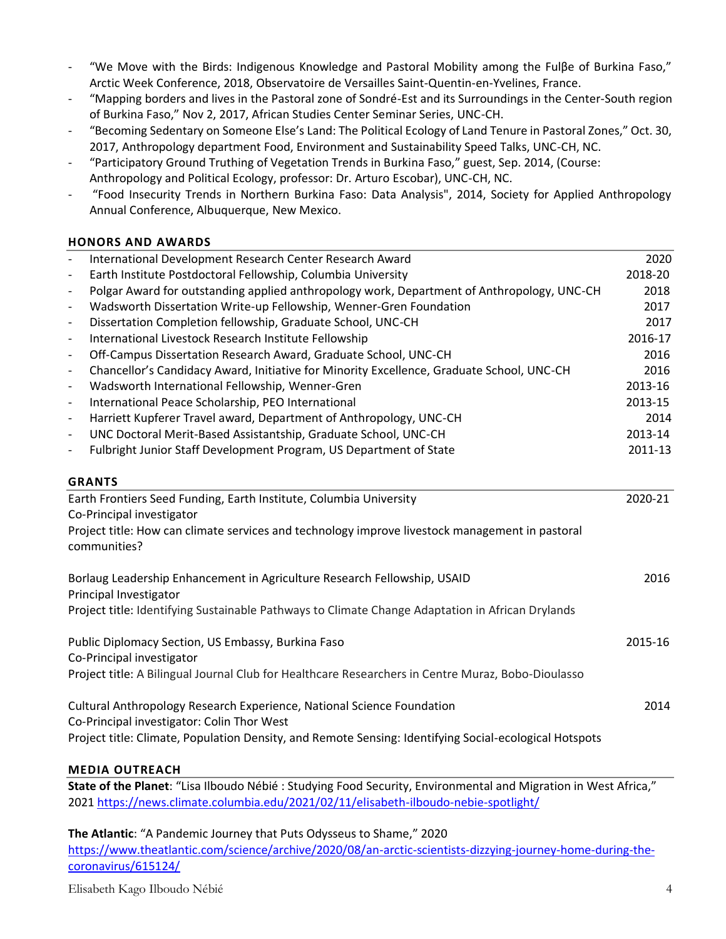- "We Move with the Birds: Indigenous Knowledge and Pastoral Mobility among the Fulβe of Burkina Faso," Arctic Week Conference, 2018, Observatoire de Versailles Saint-Quentin-en-Yvelines, France.
- "Mapping borders and lives in the Pastoral zone of Sondré-Est and its Surroundings in the Center-South region of Burkina Faso," Nov 2, 2017, African Studies Center Seminar Series, UNC-CH.
- "Becoming Sedentary on Someone Else's Land: The Political Ecology of Land Tenure in Pastoral Zones," Oct. 30, 2017, Anthropology department Food, Environment and Sustainability Speed Talks, UNC-CH, NC.
- "Participatory Ground Truthing of Vegetation Trends in Burkina Faso," guest, Sep. 2014, (Course: Anthropology and Political Ecology, professor: Dr. Arturo Escobar), UNC-CH, NC.
- "Food Insecurity Trends in Northern Burkina Faso: Data Analysis", 2014, Society for Applied Anthropology Annual Conference, Albuquerque, New Mexico.

## **HONORS AND AWARDS**

| $\overline{\phantom{a}}$                                                                                             | International Development Research Center Research Award                                                        | 2020    |
|----------------------------------------------------------------------------------------------------------------------|-----------------------------------------------------------------------------------------------------------------|---------|
| $\overline{\phantom{a}}$                                                                                             | Earth Institute Postdoctoral Fellowship, Columbia University                                                    | 2018-20 |
| $\overline{\phantom{a}}$                                                                                             | Polgar Award for outstanding applied anthropology work, Department of Anthropology, UNC-CH                      | 2018    |
| $\overline{\phantom{a}}$                                                                                             | Wadsworth Dissertation Write-up Fellowship, Wenner-Gren Foundation                                              | 2017    |
| $\overline{\phantom{a}}$                                                                                             | Dissertation Completion fellowship, Graduate School, UNC-CH                                                     | 2017    |
| $\overline{\phantom{a}}$                                                                                             | International Livestock Research Institute Fellowship                                                           | 2016-17 |
| $\overline{\phantom{a}}$                                                                                             | Off-Campus Dissertation Research Award, Graduate School, UNC-CH                                                 | 2016    |
| $\overline{\phantom{a}}$                                                                                             | Chancellor's Candidacy Award, Initiative for Minority Excellence, Graduate School, UNC-CH                       | 2016    |
| $\overline{\phantom{a}}$                                                                                             | Wadsworth International Fellowship, Wenner-Gren                                                                 | 2013-16 |
| $\overline{\phantom{a}}$                                                                                             | International Peace Scholarship, PEO International                                                              | 2013-15 |
| $\overline{\phantom{a}}$                                                                                             | Harriett Kupferer Travel award, Department of Anthropology, UNC-CH                                              | 2014    |
| $\overline{\phantom{a}}$                                                                                             | UNC Doctoral Merit-Based Assistantship, Graduate School, UNC-CH                                                 | 2013-14 |
| $\blacksquare$                                                                                                       | Fulbright Junior Staff Development Program, US Department of State                                              | 2011-13 |
|                                                                                                                      | <b>GRANTS</b>                                                                                                   |         |
|                                                                                                                      | Earth Frontiers Seed Funding, Earth Institute, Columbia University                                              | 2020-21 |
|                                                                                                                      | Co-Principal investigator                                                                                       |         |
|                                                                                                                      | Project title: How can climate services and technology improve livestock management in pastoral<br>communities? |         |
|                                                                                                                      | Borlaug Leadership Enhancement in Agriculture Research Fellowship, USAID<br>Principal Investigator              | 2016    |
|                                                                                                                      | Project title: Identifying Sustainable Pathways to Climate Change Adaptation in African Drylands                |         |
|                                                                                                                      | Public Diplomacy Section, US Embassy, Burkina Faso<br>Co-Principal investigator                                 | 2015-16 |
|                                                                                                                      | Project title: A Bilingual Journal Club for Healthcare Researchers in Centre Muraz, Bobo-Dioulasso              |         |
| Cultural Anthropology Research Experience, National Science Foundation<br>Co-Principal investigator: Colin Thor West |                                                                                                                 | 2014    |
|                                                                                                                      | Project title: Climate, Population Density, and Remote Sensing: Identifying Social-ecological Hotspots          |         |

## **MEDIA OUTREACH**

**State of the Planet**: "Lisa Ilboudo Nébié : Studying Food Security, Environmental and Migration in West Africa," 2021<https://news.climate.columbia.edu/2021/02/11/elisabeth-ilboudo-nebie-spotlight/>

**The Atlantic**: "A Pandemic Journey that Puts Odysseus to Shame," 2020

[https://www.theatlantic.com/science/archive/2020/08/an-arctic-scientists-dizzying-journey-home-during-the](https://www.theatlantic.com/science/archive/2020/08/an-arctic-scientists-dizzying-journey-home-during-the-coronavirus/615124/)[coronavirus/615124/](https://www.theatlantic.com/science/archive/2020/08/an-arctic-scientists-dizzying-journey-home-during-the-coronavirus/615124/)